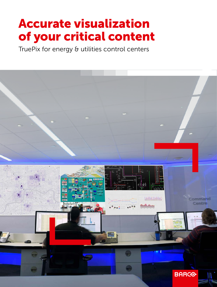# Accurate visualization of your critical content

TruePix for energy & utilities control centers

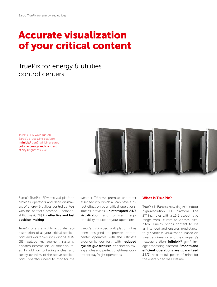## Accurate visualization of your critical content

TruePix for energy & utilities control centers

TruePix LED walls run on Barco's processing platform Infinipix<sup>®</sup> gen2, which ensures color accuracy and contrast at any brightness level.



Barco's TruePix LED video wall platform provides operators and decision-makers of energy & utilities control centers with the perfect Common Operational Picture (COP) for **effective and fast** decision-making.

TruePix offers a highly accurate representation of all your critical applications and workflows, including SCADA, GIS, outage management systems, dispatch information, or other sources. In addition to having a clear and steady overview of the above applications, operators need to monitor the

weather, TV news, premises and other asset security which all can have a direct effect on your critical operations. TruePix provides uninterrupted 24/7 **visualization** and long-term supportability to support your operations.

Barco's LED video wall platform has been designed to provide control center operators with the ultimate ergonomic comfort, with reduced eye-fatigue features, enhanced viewing angles and perfect brightness control for day/night operations.

#### What is TruePix?

TruePix is Barco's new flagship indoor high-resolution LED platform. The 27" inch tiles with a 16:9 aspect ratio range from 0.9mm to 2.5mm pixel pitch. TruePix brings content to life as intended and ensures predictable, truly seamless visualization, based on smart engineering and the company's next-generation Infinipix® gen2 image processing platform. Smooth and efficient operations are guaranteed 24/7, next to full peace of mind for the entire video wall lifetime.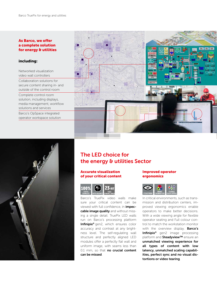## As Barco, we offer a complete solution

#### including:

Networked visualization video wall controllers secure content sharing in- and outside of the control room Complete control room solution, including displays, media management, workflow solutions and services Barco's OpSpace integrated operator workspace solution





### The LED choice for the energy & utilities Sector

#### Accurate visualization of your critical content



Barco's TruePix video walls make sure your critical content can be viewed with full confidence, in *impec*cable image quality and without missing a single detail. TruePix LED walls run on Barco's processing platform Infinipix® gen2, which ensures color accuracy and contrast at any brightness level. The self-regulating wall structure and perfectly aligned LED modules offer a perfectly flat wall and uniform image, with seams less than 0.1 mm, so that no crucial content can be missed.

#### Improved operator ergonomics



In critical environments, such as transmission and distribution centers, improved viewing ergonomics enable operators to make better decisions. With a wide viewing angle for flexible operator seating and Full colour control to match the workstation monitor with the overview display. **Barco's** Infinipix<sup>®</sup> gen2 image processing platform and Steadyview™ ensure an unmatched viewing experience for all types of content with low latency, unmatched scaling capabilities, perfect sync and no visual distortions or video tearing.